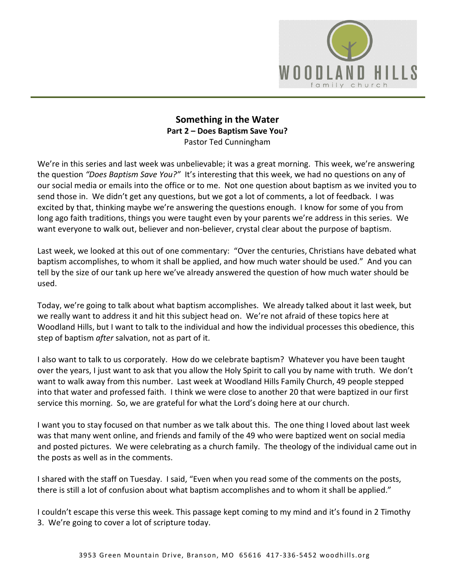

## **Something in the Water Part 2 – Does Baptism Save You?**  Pastor Ted Cunningham

We're in this series and last week was unbelievable; it was a great morning. This week, we're answering the question *"Does Baptism Save You?"* It's interesting that this week, we had no questions on any of our social media or emails into the office or to me. Not one question about baptism as we invited you to send those in. We didn't get any questions, but we got a lot of comments, a lot of feedback. I was excited by that, thinking maybe we're answering the questions enough. I know for some of you from long ago faith traditions, things you were taught even by your parents we're address in this series. We want everyone to walk out, believer and non-believer, crystal clear about the purpose of baptism.

Last week, we looked at this out of one commentary: "Over the centuries, Christians have debated what baptism accomplishes, to whom it shall be applied, and how much water should be used." And you can tell by the size of our tank up here we've already answered the question of how much water should be used.

Today, we're going to talk about what baptism accomplishes. We already talked about it last week, but we really want to address it and hit this subject head on. We're not afraid of these topics here at Woodland Hills, but I want to talk to the individual and how the individual processes this obedience, this step of baptism *after* salvation, not as part of it.

I also want to talk to us corporately. How do we celebrate baptism? Whatever you have been taught over the years, I just want to ask that you allow the Holy Spirit to call you by name with truth. We don't want to walk away from this number. Last week at Woodland Hills Family Church, 49 people stepped into that water and professed faith. I think we were close to another 20 that were baptized in our first service this morning. So, we are grateful for what the Lord's doing here at our church.

I want you to stay focused on that number as we talk about this. The one thing I loved about last week was that many went online, and friends and family of the 49 who were baptized went on social media and posted pictures. We were celebrating as a church family. The theology of the individual came out in the posts as well as in the comments.

I shared with the staff on Tuesday. I said, "Even when you read some of the comments on the posts, there is still a lot of confusion about what baptism accomplishes and to whom it shall be applied."

I couldn't escape this verse this week. This passage kept coming to my mind and it's found in 2 Timothy 3. We're going to cover a lot of scripture today.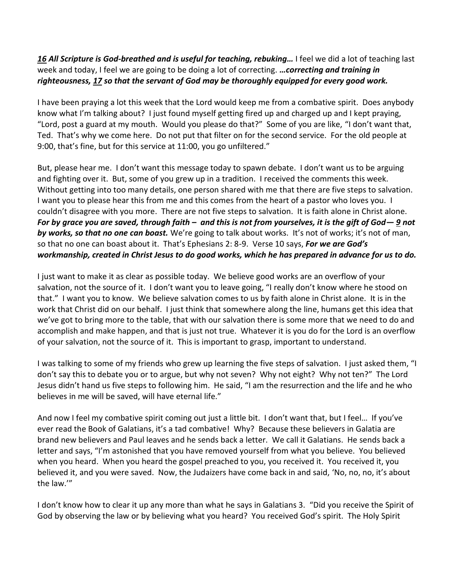### *[16](http://www.studylight.org/desk/?q=2ti%203:16&t1=en_niv&sr=1) All Scripture is God-breathed and is useful for teaching, rebuking…* I feel we did a lot of teaching last week and today, I feel we are going to be doing a lot of correcting. *…correcting and training in righteousness, [17](http://www.studylight.org/desk/?q=2ti%203:17&t1=en_niv&sr=1) so that the servant of God may be thoroughly equipped for every good work.*

I have been praying a lot this week that the Lord would keep me from a combative spirit. Does anybody know what I'm talking about? I just found myself getting fired up and charged up and I kept praying, "Lord, post a guard at my mouth. Would you please do that?" Some of you are like, "I don't want that, Ted. That's why we come here. Do not put that filter on for the second service. For the old people at 9:00, that's fine, but for this service at 11:00, you go unfiltered."

But, please hear me. I don't want this message today to spawn debate. I don't want us to be arguing and fighting over it. But, some of you grew up in a tradition. I received the comments this week. Without getting into too many details, one person shared with me that there are five steps to salvation. I want you to please hear this from me and this comes from the heart of a pastor who loves you. I couldn't disagree with you more. There are not five steps to salvation. It is faith alone in Christ alone. *For by grace you are saved, through faith – and this is not from yourselves, it is the gift of God— [9](http://www.studylight.org/desk/?q=eph%202:9&t1=en_niv&sr=1) not by works, so that no one can boast.* We're going to talk about works. It's not of works; it's not of man, so that no one can boast about it. That's Ephesians 2: 8-9. Verse 10 says, *For we are God's workmanship, created in Christ Jesus to do good works, which he has prepared in advance for us to do.* 

I just want to make it as clear as possible today. We believe good works are an overflow of your salvation, not the source of it. I don't want you to leave going, "I really don't know where he stood on that." I want you to know. We believe salvation comes to us by faith alone in Christ alone. It is in the work that Christ did on our behalf. I just think that somewhere along the line, humans get this idea that we've got to bring more to the table, that with our salvation there is some more that we need to do and accomplish and make happen, and that is just not true. Whatever it is you do for the Lord is an overflow of your salvation, not the source of it. This is important to grasp, important to understand.

I was talking to some of my friends who grew up learning the five steps of salvation. I just asked them, "I don't say this to debate you or to argue, but why not seven? Why not eight? Why not ten?" The Lord Jesus didn't hand us five steps to following him. He said, "I am the resurrection and the life and he who believes in me will be saved, will have eternal life."

And now I feel my combative spirit coming out just a little bit. I don't want that, but I feel… If you've ever read the Book of Galatians, it's a tad combative! Why? Because these believers in Galatia are brand new believers and Paul leaves and he sends back a letter. We call it Galatians. He sends back a letter and says, "I'm astonished that you have removed yourself from what you believe. You believed when you heard. When you heard the gospel preached to you, you received it. You received it, you believed it, and you were saved. Now, the Judaizers have come back in and said, 'No, no, no, it's about the law.'"

I don't know how to clear it up any more than what he says in Galatians 3. "Did you receive the Spirit of God by observing the law or by believing what you heard? You received God's spirit. The Holy Spirit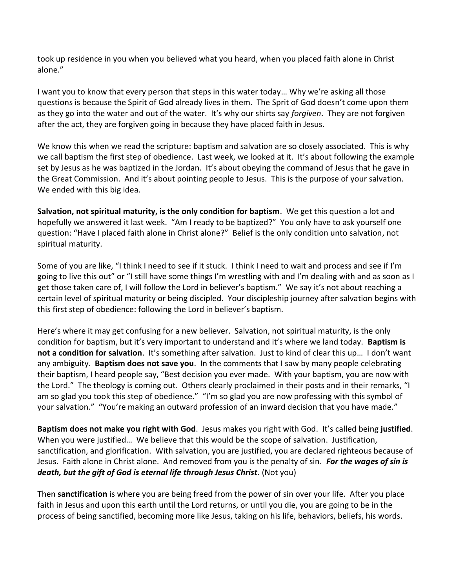took up residence in you when you believed what you heard, when you placed faith alone in Christ alone."

I want you to know that every person that steps in this water today… Why we're asking all those questions is because the Spirit of God already lives in them. The Sprit of God doesn't come upon them as they go into the water and out of the water. It's why our shirts say *forgiven*. They are not forgiven after the act, they are forgiven going in because they have placed faith in Jesus.

We know this when we read the scripture: baptism and salvation are so closely associated. This is why we call baptism the first step of obedience. Last week, we looked at it. It's about following the example set by Jesus as he was baptized in the Jordan. It's about obeying the command of Jesus that he gave in the Great Commission. And it's about pointing people to Jesus. This is the purpose of your salvation. We ended with this big idea.

**Salvation, not spiritual maturity, is the only condition for baptism**. We get this question a lot and hopefully we answered it last week. "Am I ready to be baptized?" You only have to ask yourself one question: "Have I placed faith alone in Christ alone?" Belief is the only condition unto salvation, not spiritual maturity.

Some of you are like, "I think I need to see if it stuck. I think I need to wait and process and see if I'm going to live this out" or "I still have some things I'm wrestling with and I'm dealing with and as soon as I get those taken care of, I will follow the Lord in believer's baptism." We say it's not about reaching a certain level of spiritual maturity or being discipled. Your discipleship journey after salvation begins with this first step of obedience: following the Lord in believer's baptism.

Here's where it may get confusing for a new believer. Salvation, not spiritual maturity, is the only condition for baptism, but it's very important to understand and it's where we land today. **Baptism is not a condition for salvation**. It's something after salvation. Just to kind of clear this up… I don't want any ambiguity. **Baptism does not save you**. In the comments that I saw by many people celebrating their baptism, I heard people say, "Best decision you ever made. With your baptism, you are now with the Lord." The theology is coming out. Others clearly proclaimed in their posts and in their remarks, "I am so glad you took this step of obedience." "I'm so glad you are now professing with this symbol of your salvation." "You're making an outward profession of an inward decision that you have made."

**Baptism does not make you right with God**. Jesus makes you right with God. It's called being **justified**. When you were justified… We believe that this would be the scope of salvation. Justification, sanctification, and glorification. With salvation, you are justified, you are declared righteous because of Jesus. Faith alone in Christ alone. And removed from you is the penalty of sin. *For the wages of sin is death, but the gift of God is eternal life through Jesus Christ*. (Not you)

Then **sanctification** is where you are being freed from the power of sin over your life. After you place faith in Jesus and upon this earth until the Lord returns, or until you die, you are going to be in the process of being sanctified, becoming more like Jesus, taking on his life, behaviors, beliefs, his words.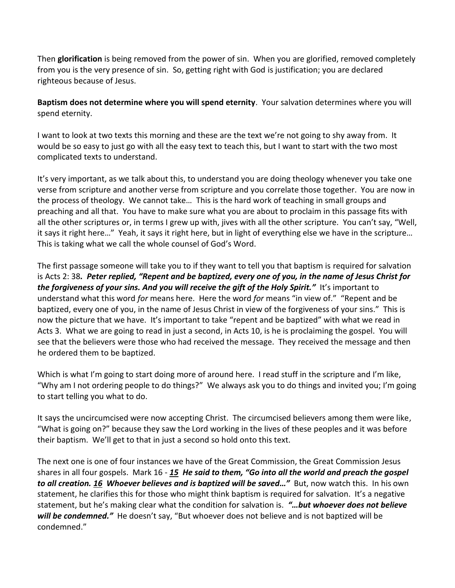Then **glorification** is being removed from the power of sin. When you are glorified, removed completely from you is the very presence of sin. So, getting right with God is justification; you are declared righteous because of Jesus.

**Baptism does not determine where you will spend eternity**. Your salvation determines where you will spend eternity.

I want to look at two texts this morning and these are the text we're not going to shy away from. It would be so easy to just go with all the easy text to teach this, but I want to start with the two most complicated texts to understand.

It's very important, as we talk about this, to understand you are doing theology whenever you take one verse from scripture and another verse from scripture and you correlate those together. You are now in the process of theology. We cannot take… This is the hard work of teaching in small groups and preaching and all that. You have to make sure what you are about to proclaim in this passage fits with all the other scriptures or, in terms I grew up with, jives with all the other scripture. You can't say, "Well, it says it right here…" Yeah, it says it right here, but in light of everything else we have in the scripture… This is taking what we call the whole counsel of God's Word.

The first passage someone will take you to if they want to tell you that baptism is required for salvation is Acts 2: 38*. Peter replied, "Repent and be baptized, every one of you, in the name of Jesus Christ for the forgiveness of your sins. And you will receive the gift of the Holy Spirit."* It's important to understand what this word *for* means here. Here the word *for* means "in view of." "Repent and be baptized, every one of you, in the name of Jesus Christ in view of the forgiveness of your sins." This is now the picture that we have. It's important to take "repent and be baptized" with what we read in Acts 3. What we are going to read in just a second, in Acts 10, is he is proclaiming the gospel. You will see that the believers were those who had received the message. They received the message and then he ordered them to be baptized.

Which is what I'm going to start doing more of around here. I read stuff in the scripture and I'm like, "Why am I not ordering people to do things?" We always ask you to do things and invited you; I'm going to start telling you what to do.

It says the uncircumcised were now accepting Christ. The circumcised believers among them were like, "What is going on?" because they saw the Lord working in the lives of these peoples and it was before their baptism. We'll get to that in just a second so hold onto this text.

The next one is one of four instances we have of the Great Commission, the Great Commission Jesus shares in all four gospels. Mark 16 - *[15](http://www.studylight.org/desk/?q=mr%2016:15&t1=en_niv&sr=1) He said to them, "Go into all the world and preach the gospel to all creation. [16](http://www.studylight.org/desk/?q=mr%2016:16&t1=en_niv&sr=1) Whoever believes and is baptized will be saved…"* But, now watch this. In his own statement, he clarifies this for those who might think baptism is required for salvation. It's a negative statement, but he's making clear what the condition for salvation is. *"…but whoever does not believe*  will be condemned." He doesn't say, "But whoever does not believe and is not baptized will be condemned."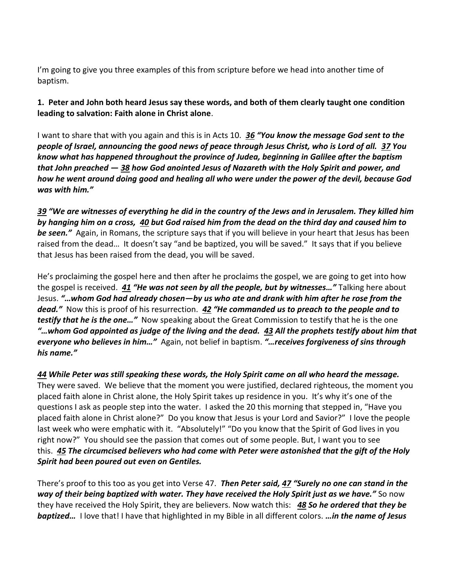I'm going to give you three examples of this from scripture before we head into another time of baptism.

**1. Peter and John both heard Jesus say these words, and both of them clearly taught one condition leading to salvation: Faith alone in Christ alone**.

I want to share that with you again and this is in Acts 10. *[36](http://www.studylight.org/desk/?q=ac%2010:36&t1=en_niv&sr=1) "You know the message God sent to the people of Israel, announcing the good news of peace through Jesus Christ, who is Lord of all. [37](http://www.studylight.org/desk/?q=ac%2010:37&t1=en_niv&sr=1) You know what has happened throughout the province of Judea, beginning in Galilee after the baptism that John preached — [38](http://www.studylight.org/desk/?q=ac%2010:38&t1=en_niv&sr=1) how God anointed Jesus of Nazareth with the Holy Spirit and power, and how he went around doing good and healing all who were under the power of the devil, because God was with him."*

*[39](http://www.studylight.org/desk/?q=ac%2010:39&t1=en_niv&sr=1) "We are witnesses of everything he did in the country of the Jews and in Jerusalem. They killed him by hanging him on a cross, [40](http://www.studylight.org/desk/?q=ac%2010:40&t1=en_niv&sr=1) but God raised him from the dead on the third day and caused him to be seen."* Again, in Romans, the scripture says that if you will believe in your heart that Jesus has been raised from the dead… It doesn't say "and be baptized, you will be saved." It says that if you believe that Jesus has been raised from the dead, you will be saved.

He's proclaiming the gospel here and then after he proclaims the gospel, we are going to get into how the gospel is received. *[41](http://www.studylight.org/desk/?q=ac%2010:41&t1=en_niv&sr=1) "He was not seen by all the people, but by witnesses…"* Talking here about Jesus. *"…whom God had already chosen—by us who ate and drank with him after he rose from the dead."* Now this is proof of his resurrection. *[42](http://www.studylight.org/desk/?q=ac%2010:42&t1=en_niv&sr=1) "He commanded us to preach to the people and to testify that he is the one…"* Now speaking about the Great Commission to testify that he is the one *"…whom God appointed as judge of the living and the dead. [43](http://www.studylight.org/desk/?q=ac%2010:43&t1=en_niv&sr=1) All the prophets testify about him that everyone who believes in him…"* Again, not belief in baptism. *"…receives forgiveness of sins through his name."*

*[44](http://www.studylight.org/desk/?q=ac%2010:44&t1=en_niv&sr=1) While Peter was still speaking these words, the Holy Spirit came on all who heard the message.* They were saved. We believe that the moment you were justified, declared righteous, the moment you placed faith alone in Christ alone, the Holy Spirit takes up residence in you. It's why it's one of the questions I ask as people step into the water. I asked the 20 this morning that stepped in, "Have you placed faith alone in Christ alone?" Do you know that Jesus is your Lord and Savior?" I love the people last week who were emphatic with it. "Absolutely!" "Do you know that the Spirit of God lives in you right now?" You should see the passion that comes out of some people. But, I want you to see this. *[45](http://www.studylight.org/desk/?q=ac%2010:45&t1=en_niv&sr=1) The circumcised believers who had come with Peter were astonished that the gift of the Holy Spirit had been poured out even on Gentiles.* 

There's proof to this too as you get into Verse 47. *Then Peter said, [47](http://www.studylight.org/desk/?q=ac%2010:47&t1=en_niv&sr=1) "Surely no one can stand in the way of their being baptized with water. They have received the Holy Spirit just as we have."* So now they have received the Holy Spirit, they are believers. Now watch this: *[48](http://www.studylight.org/desk/?q=ac%2010:48&t1=en_niv&sr=1) So he ordered that they be baptized…* I love that! I have that highlighted in my Bible in all different colors. *…in the name of Jesus*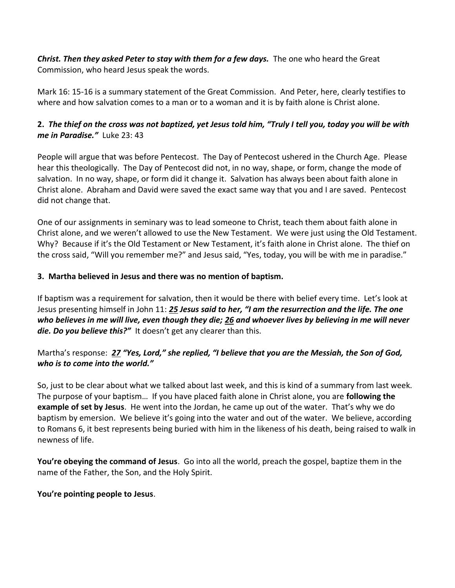*Christ. Then they asked Peter to stay with them for a few days.* The one who heard the Great Commission, who heard Jesus speak the words.

Mark 16: 15-16 is a summary statement of the Great Commission. And Peter, here, clearly testifies to where and how salvation comes to a man or to a woman and it is by faith alone is Christ alone.

# **2.** *The thief on the cross was not baptized, yet Jesus told him, "Truly I tell you, today you will be with me in Paradise."* Luke 23: 43

People will argue that was before Pentecost. The Day of Pentecost ushered in the Church Age. Please hear this theologically. The Day of Pentecost did not, in no way, shape, or form, change the mode of salvation. In no way, shape, or form did it change it. Salvation has always been about faith alone in Christ alone. Abraham and David were saved the exact same way that you and I are saved. Pentecost did not change that.

One of our assignments in seminary was to lead someone to Christ, teach them about faith alone in Christ alone, and we weren't allowed to use the New Testament. We were just using the Old Testament. Why? Because if it's the Old Testament or New Testament, it's faith alone in Christ alone. The thief on the cross said, "Will you remember me?" and Jesus said, "Yes, today, you will be with me in paradise."

#### **3. Martha believed in Jesus and there was no mention of baptism.**

If baptism was a requirement for salvation, then it would be there with belief every time. Let's look at Jesus presenting himself in John 11: *[25](http://www.studylight.org/desk/?q=joh%2011:25&t1=en_niv&sr=1) Jesus said to her, "I am the resurrection and the life. The one who believes in me will live, even though they die; [26](http://www.studylight.org/desk/?q=joh%2011:26&t1=en_niv&sr=1) and whoever lives by believing in me will never die. Do you believe this?"* It doesn't get any clearer than this.

## Martha's response: *[27](http://www.studylight.org/desk/?q=joh%2011:27&t1=en_niv&sr=1) "Yes, Lord," she replied, "I believe that you are the Messiah, the Son of God, who is to come into the world."*

So, just to be clear about what we talked about last week, and this is kind of a summary from last week. The purpose of your baptism… If you have placed faith alone in Christ alone, you are **following the example of set by Jesus**. He went into the Jordan, he came up out of the water. That's why we do baptism by emersion. We believe it's going into the water and out of the water. We believe, according to Romans 6, it best represents being buried with him in the likeness of his death, being raised to walk in newness of life.

**You're obeying the command of Jesus**. Go into all the world, preach the gospel, baptize them in the name of the Father, the Son, and the Holy Spirit.

#### **You're pointing people to Jesus**.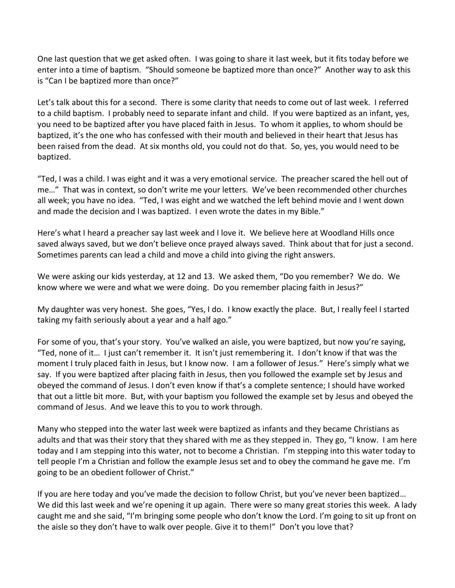One last question that we get asked often. I was going to share it last week, but it fits today before we enter into a time of baptism. "Should someone be baptized more than once?" Another way to ask this is "Can I be baptized more than once?"

Let's talk about this for a second. There is some clarity that needs to come out of last week. I referred to a child baptism. I probably need to separate infant and child. If you were baptized as an infant, yes, you need to be baptized after you have placed faith in Jesus. To whom it applies, to whom should be baptized, it's the one who has confessed with their mouth and believed in their heart that Jesus has been raised from the dead. At six months old, you could not do that. So, yes, you would need to be baptized.

"Ted, I was a child. I was eight and it was a very emotional service. The preacher scared the hell out of me…" That was in context, so don't write me your letters. We've been recommended other churches all week; you have no idea. "Ted, I was eight and we watched the left behind movie and I went down and made the decision and I was baptized. I even wrote the dates in my Bible."

Here's what I heard a preacher say last week and I love it. We believe here at Woodland Hills once saved always saved, but we don't believe once prayed always saved. Think about that for just a second. Sometimes parents can lead a child and move a child into giving the right answers.

We were asking our kids yesterday, at 12 and 13. We asked them, "Do you remember? We do. We know where we were and what we were doing. Do you remember placing faith in Jesus?"

My daughter was very honest. She goes, "Yes, I do. I know exactly the place. But, I really feel I started taking my faith seriously about a year and a half ago."

For some of you, that's your story. You've walked an aisle, you were baptized, but now you're saying, "Ted, none of it… I just can't remember it. It isn't just remembering it. I don't know if that was the moment I truly placed faith in Jesus, but I know now. I am a follower of Jesus." Here's simply what we say. If you were baptized after placing faith in Jesus, then you followed the example set by Jesus and obeyed the command of Jesus. I don't even know if that's a complete sentence; I should have worked that out a little bit more. But, with your baptism you followed the example set by Jesus and obeyed the command of Jesus. And we leave this to you to work through.

Many who stepped into the water last week were baptized as infants and they became Christians as adults and that was their story that they shared with me as they stepped in. They go, "I know. I am here today and I am stepping into this water, not to become a Christian. I'm stepping into this water today to tell people I'm a Christian and follow the example Jesus set and to obey the command he gave me. I'm going to be an obedient follower of Christ."

If you are here today and you've made the decision to follow Christ, but you've never been baptized… We did this last week and we're opening it up again. There were so many great stories this week. A lady caught me and she said, "I'm bringing some people who don't know the Lord. I'm going to sit up front on the aisle so they don't have to walk over people. Give it to them!" Don't you love that?